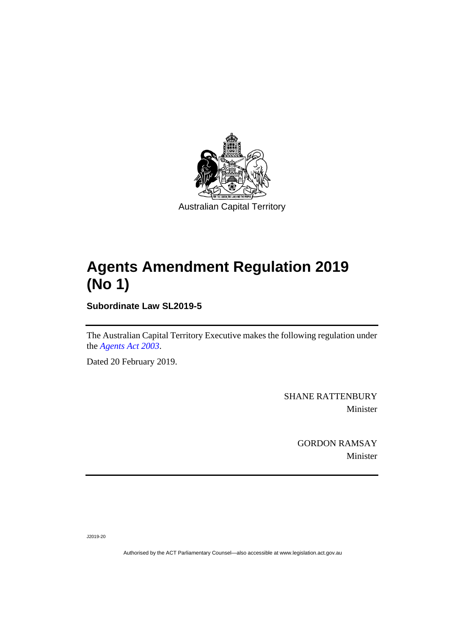

## **Agents Amendment Regulation 2019 (No 1)**

**Subordinate Law SL2019-5**

The Australian Capital Territory Executive makes the following regulation under the *[Agents Act 2003](http://www.legislation.act.gov.au/a/2003-20)*.

Dated 20 February 2019.

SHANE RATTENBURY Minister

> GORDON RAMSAY Minister

J2019-20

Authorised by the ACT Parliamentary Counsel—also accessible at www.legislation.act.gov.au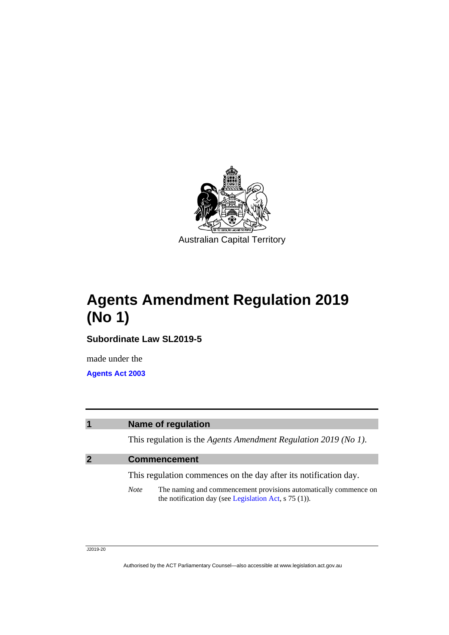

**Agents Amendment Regulation 2019 (No 1)**

**Subordinate Law SL2019-5**

made under the **[Agents Act 2003](http://www.legislation.act.gov.au/a/2003-20)**

## **1 Name of regulation**

This regulation is the *Agents Amendment Regulation 2019 (No 1)*.

## **2 Commencement**

This regulation commences on the day after its notification day.

*Note* The naming and commencement provisions automatically commence on the notification day (see [Legislation Act,](http://www.legislation.act.gov.au/a/2001-14) s 75 (1)).

J2019-20

Authorised by the ACT Parliamentary Counsel—also accessible at www.legislation.act.gov.au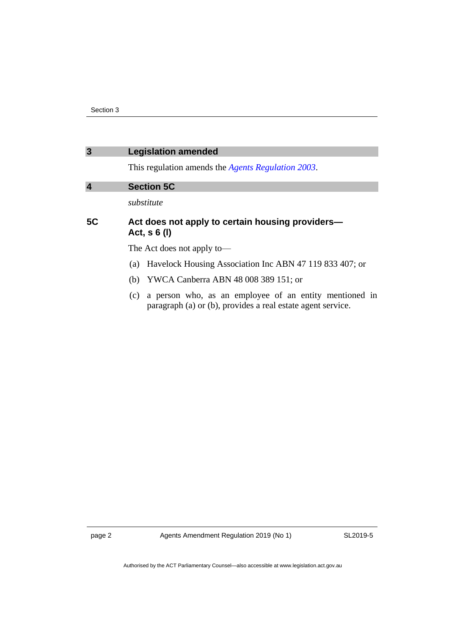| $\mathbf{3}$            | <b>Legislation amended</b>                                                                                                   |
|-------------------------|------------------------------------------------------------------------------------------------------------------------------|
|                         | This regulation amends the <i>Agents Regulation 2003</i> .                                                                   |
| $\overline{\mathbf{4}}$ | <b>Section 5C</b>                                                                                                            |
|                         | substitute                                                                                                                   |
| <b>5C</b>               | Act does not apply to certain housing providers-<br>Act, $s \ 6 \ (l)$                                                       |
|                         | The Act does not apply to-                                                                                                   |
|                         | Havelock Housing Association Inc ABN 47 119 833 407; or<br>(a)                                                               |
|                         | YWCA Canberra ABN 48 008 389 151; or<br>(b)                                                                                  |
|                         | a person who, as an employee of an entity mentioned in<br>(c)<br>paragraph (a) or (b), provides a real estate agent service. |

page 2 Agents Amendment Regulation 2019 (No 1)

SL2019-5